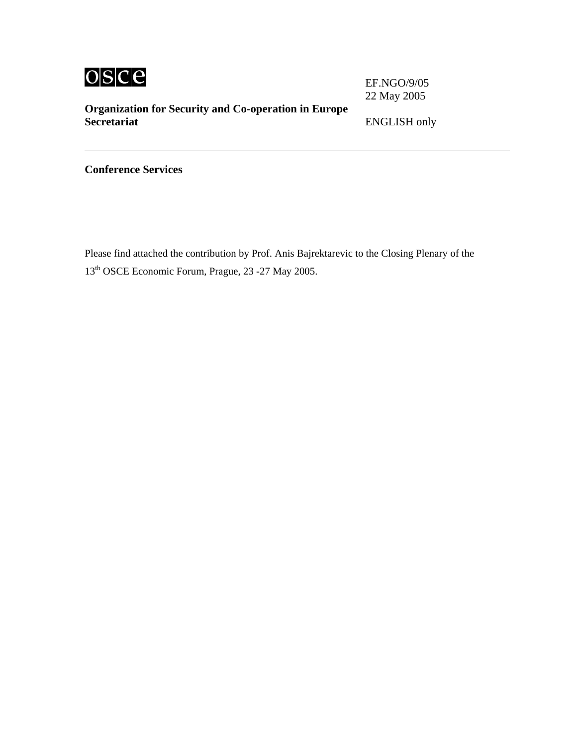

EF.NGO/9/05 22 May 2005

**Organization for Security and Co-operation in Europe** 

**Secretariat** ENGLISH only

**Conference Services** 

Please find attached the contribution by Prof. Anis Bajrektarevic to the Closing Plenary of the 13th OSCE Economic Forum, Prague, 23 -27 May 2005.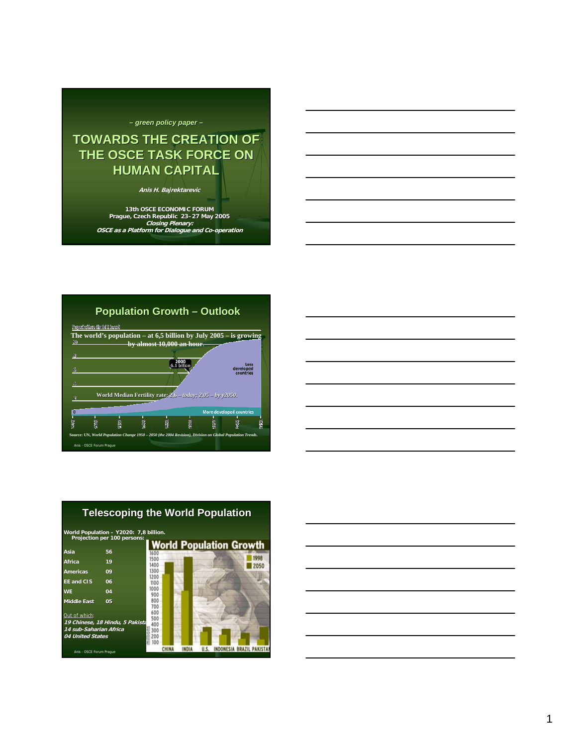# *– green policy paper green policy paper –*

# **TOWARDS THE CREATION OF THE OSCE TASK FORCE ON HUMAN CAPITAL**

**Anis H. Bajrektarevic**

**13th OSCE ECONOMIC FORUM Prague, Czech Republic 23–27 May 2005 Closing Plenary: OSCE as a Platform for Dialogue and Co-operation**





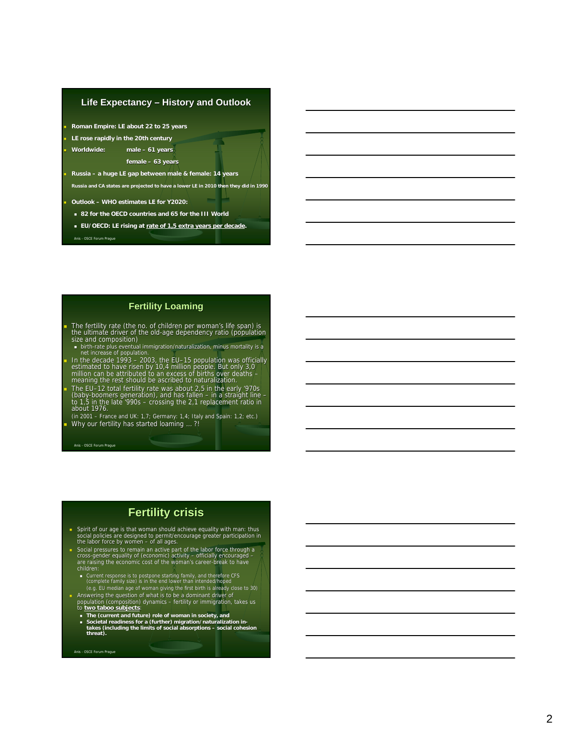

# **Fertility Loaming**

The fertility rate (the no. of children per woman's life span) is the ultimate driver of the old-age dependency ratio (population size and composition)

- **birth-rate plus eventual immigration/naturalization, minus mortality is a net increase of population.**
- In the decade 1993 2003, the EU-15 population was officially<br>estimated to have risen by 10,4 million people. But only 3,0<br>million can be attributed to an excess of births over deaths –<br>meaning the rest should be ascribed

The EU-12 total fertility rate was about 0.1 and 2011<br>(baby-boomers generation), and has fallen – in a straight line<br>to 1,5 in the late '990s – crossing the 2,1 replacement ratio in<br>about 1976.

(in 2001 – France and UK: 1,7; Germany: 1,4; Italy and Spain: 1,2; etc.) Why our fertility has started loaming ...?!

Anis - OSCE Forum Prague

# **Fertility crisis**

- Spirit of our age is that woman should achieve equality with man: thus social policies are designed to permit/encourage greater partici participation in the labor force by women of all ages.
- Social pressures to remain an active part of the labor force through a cross -gender equality of (economic) activity officially encouraged are raising the economic cost of the woman's career -break to have children:
	- Current response is to postpone starting family, and therefore CFS (complete family size) is in the end lower than intended/hoped (e.g. EU median age of woman giving the first birth is already close to 30) lose to 30)
- Answering the question of what is to be a dominant driver of population (composition) dynamics fertility or immigration, takes us to **two taboo subjects** :
- 
- **The (current and future) role of woman in society, and**
- **Societal readiness for a (further) migration/naturalization in - takes (including the limits of social absorptions – social cohesion threat).**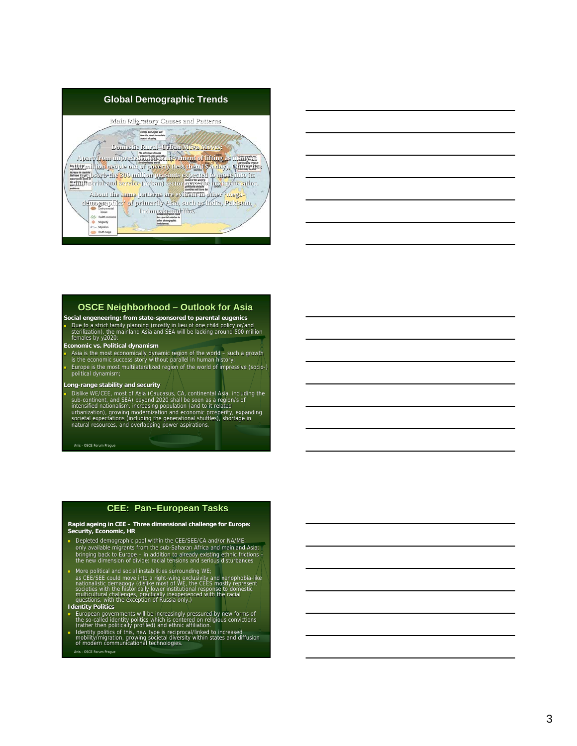



### **OSCE Neighborhood – Outlook for Asia**

**Social engeneering: from state -sponsored to parental eugenics** Due to a strict family planning (mostly in lieu of one child policy or/and<br>sterilization), the mainland Asia and SEA will be lacking around 500 million<br>females by y2020;

**Economic vs. Political dynamism**

• Asia is the most economically dynamic region of the world – such a growth is the economic success story without parallel in human history; Europe is the most multilateralized region of the world of impressive (socio -) political dynamism;

#### **Long -range stability and security**

Dislike WE/CEE, most of Asia (Caucasus, CA, continental Asia, including the sub-continent, and SEA) beyond 2020 shall be seen as a region/s of intensified nationalism, increasing population (and to it related urbanization)

Anis - OSCE Forum Prague

#### **CEE: Pan –European Tasks**

**Rapid ageing in CEE – Three dimensional challenge for Europe: Security, Economic, HR**

- Depleted demographic pool within the CEE/SEE/CA and/or NA/ME: only available migrants from the sub -Saharan Africa and mainland Asia; bringing back to Europe – in addition to already existing ethnic frictions –<br>the new dimension of divide: racial tensions and serious disturbances
- **More political and social instabilities surrounding WE**; as CEE/SEE could move into a right-wing exclusivity and xenophobia-like<br>nationalistic demagogy (dislike most of WE, the CEES mostly represent<br>societies with the historically lower institutional response to domestic multicultural challenges, practically inexperienced with the racial<br>questions, with the exception of Russia only.)
- **Identity Politics**
- 
- Anis OSCE Forum Prague ■ European governments will be increasingly pressured by new forms of<br>the so-called identity politics which is centered on religious convictions<br>(rather then politically profiled) and ethnic affiliation.<br>
■ Identity polit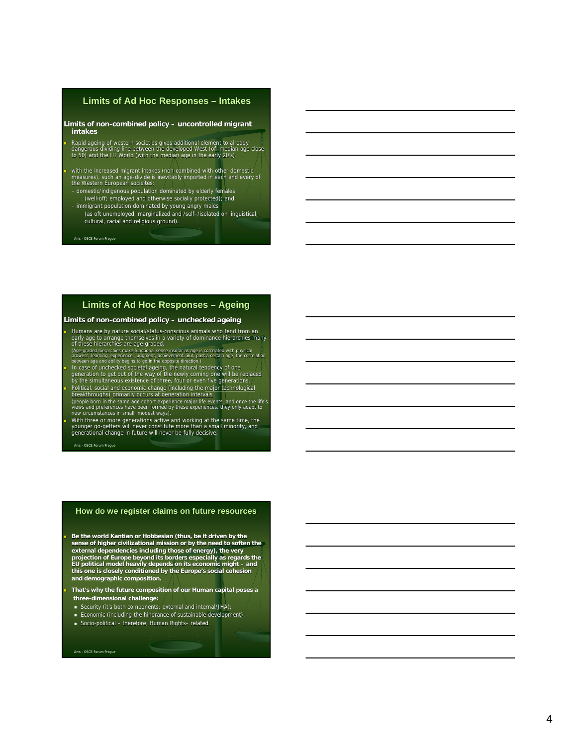# **Limits of Ad Hoc Responses - Intakes**

#### **Limits of non-combined policy – uncontrolled migrant intakes**

Rapid ageing of western societies gives additional element to already<br>dangerous dividing line between the developed West (of median age close<br>to 50) and the III World (with the median age in the early 20's).

 with the increased migrant intakes (non -combined with other domestic measures), such an age -divide is inevitably imported in each and every of the Western European socieites; – domestic/indigenous population dominated by elderly females

- (well -off; employed and otherwise socially protected); and – immigrant population dominated by young angry males
- (as oft unemployed, marginalized and /self–/isolated on linguistical, cultural, racial and religious ground).

Anis - OSCE Forum Prague

### **Limits of Ad Hoc Responses Limits of Ad Hoc Responses – Ageing**

#### **Limits of non -combined policy combined policy – unchecked ageing**

If Humans are by nature social/status-conscious animals who tend from an<br>early age to arrange themselves in a variety of dominance hierarchies many<br>of these hierarchies are age-graded.<br>(Age-graded hierarchies make function

- 
- In case of unchecked societal ageing, the natural tendency of one<br>generation to get out of the way of the newly coming one will be replaced<br>by the simultaneous existence of three, four or even five generations. Political, social and economic change (including the major technological
- <u>breakthroughs) primarily occurs at generation intervals</u><br>(people born in the same age cohort experience major life events, and once the life's<br>views and preferences have been formed by these experiences, they only adapt t

Nith three or more generations active and working at the same time, the<br>younger go-getters will never constitute more than a small minority, and<br>generational change in future will never be fully decisive.

Anis - OSCE Forum Prague

#### **How do we register claims on future resources**

 **Be the world Kantian or Hobbesian (thus, be it driven by the**  sense of higher civilizational mission or by the need to soften the<br>external dependencies including those of energy), the very<br>projection of Europe beyond its borders especially as regards the<br>EU political model heavily de **this one is closely conditioned by the Europe's social cohesion and demographic composition.** 

 **That's why the future composition of our Human capital poses a three -dimensional challenge:** 

- Security (it's both components: external and internal/JHA);
- **Economic (including the hindrance of sustainable development)**;
- Socio-political therefore, Human Rights– related.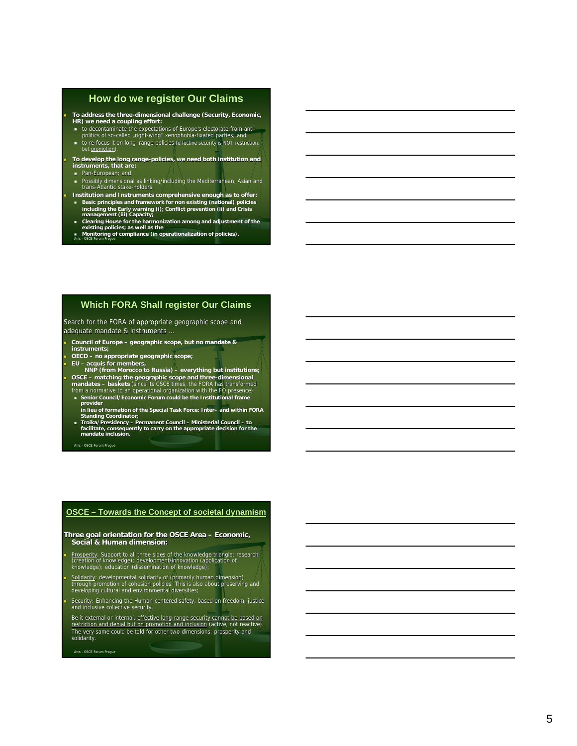# **How do we register Our Claims**

**To address the three -dimensional challenge (Security, Economic, HR) we need a coupling effort:**

- to decontaminate the expectations of Europe's electorate from anti-<br>politics of so-called ,right-wing" xenophobia-fixated parties; and
- to re-focus it on long-range policies (effective security is NOT restriction, but promotion).

**To develop the long range -policies, we need both institution and instruments, that are:**

- **Pan-European**; and
- Possibly dimensional as linking/including the Mediterranean, Asian and trans-Atlantic stake-holders.
- **Institution and Instruments comprehensive enough as to offer: Basic principles and framework for non existing (national) policies**
- **including the Early warning (i); Conflict prevention (ii) and Crisis management (iii) Capacity; Clearing House for the harmonization among and adjustment of the existing policies; as well as the Monitoring of compliance (in operationalization of policies).**
- Anis OSCE Forum Prague

# **Which FORA Shall register Our Claims**

Search for the FORA of appropriate geographic scope and adequate mandate & instruments ...

**Council of Europe – geographic scope, but no mandate & instruments;** 

**OECD – no appropriate geographic scope;**

 **EU – acquis for members, NNP (from Morocco to Russia) – everything but institutions; BOSCE** – matching the geographic scope and three-dimensional<br>mandates – baskets (since its CSCE times, the FORA has transformed<br>from a normative to an operational organization with the FO presence)

- **Senior Council/Economic Forum could be the Institutional frame provider**
- **in lieu of formation of the Special Task Force: Inter – and within FORA Standing Coordinator;**
- **Troika/Presidency – Permanent Council – Ministerial Council – to facilitate, consequently to carry on the appropriate decision for the mandate inclusion.**

Anis - OSCE Forum Prague

#### **OSCE – Towards the Concept of societal dynamism**

Three goal orientation for the OSCE Area – Economic,<br>Social & Human dimension:

**Prosperity: Support to all three sides of the knowledge triangle: research<br>(creation of knowledge); development/innovation (application of knowledge);<br>knowledge); education (dissemination of knowledge);** 

**Solidarity**: developmental solidarity of (primarily human dimension)<br>through promotion of cohesion policies. This is also about preserving and<br>developing cultural and environmental diversities;

Security: Enhancing the Human-centered safety, based on freedom, justice<br>and inclusive collective security.

Be it external or internal, <u>effective long-range security cannot be based on</u><br>restriction and denial but on promotion and inclusi<u>on</u> (active, not reactive). The very same could be told for other two dimensions: prosperity and solidarity.